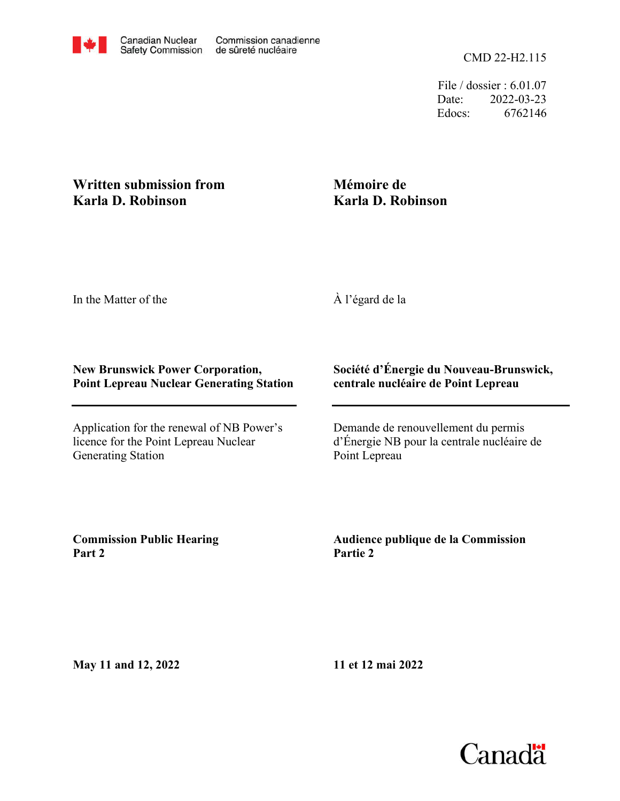File / dossier : 6.01.07 Date: 2022-03-23 Edocs: 6762146

## **Written submission from Karla D. Robinson**

## **Mémoire de Karla D. Robinson**

In the Matter of the

À l'égard de la

## **New Brunswick Power Corporation, Point Lepreau Nuclear Generating Station**

Application for the renewal of NB Power's licence for the Point Lepreau Nuclear Generating Station

## **Société d'Énergie du Nouveau-Brunswick, centrale nucléaire de Point Lepreau**

Demande de renouvellement du permis d'Énergie NB pour la centrale nucléaire de Point Lepreau

**Commission Public Hearing Part 2**

**Audience publique de la Commission Partie 2**

**May 11 and 12, 2022**

**11 et 12 mai 2022**

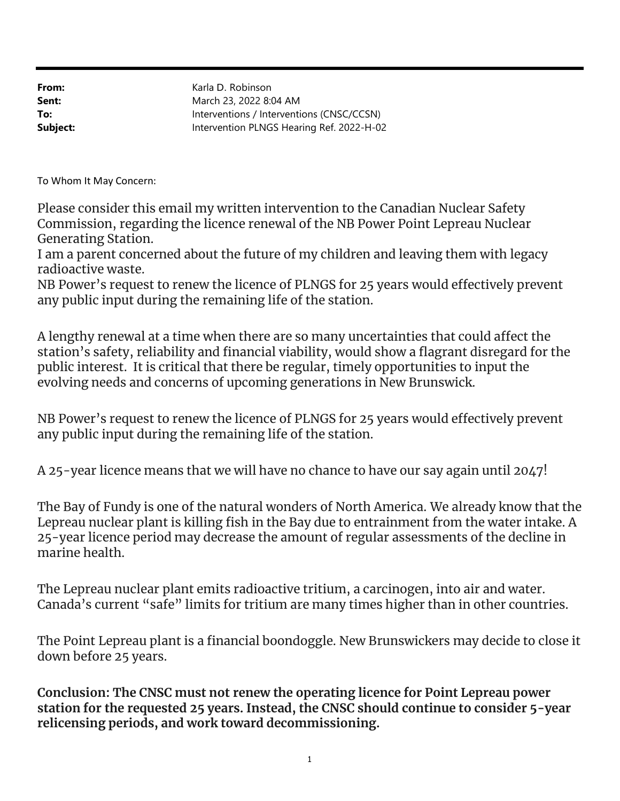From: Sent: To: Subject: Intervention PLNGS Hearing Ref. 2022-H-02 Interventions / Interventions (CNSC/CCSN) March 23, 2022 8:04 AM Karla D. Robinson

To Whom It May Concern:

Please consider this email my written intervention to the Canadian Nuclear Safety Commission, regarding the licence renewal of the NB Power Point Lepreau Nuclear Generating Station.

I am a parent concerned about the future of my children and leaving them with legacy radioactive waste.

NB Power's request to renew the licence of PLNGS for 25 years would effectively prevent any public input during the remaining life of the station.

A lengthy renewal at a time when there are so many uncertainties that could affect the station's safety, reliability and financial viability, would show a flagrant disregard for the public interest. It is critical that there be regular, timely opportunities to input the evolving needs and concerns of upcoming generations in New Brunswick.

NB Power's request to renew the licence of PLNGS for 25 years would effectively prevent any public input during the remaining life of the station.

A 25-year licence means that we will have no chance to have our say again until 2047!

The Bay of Fundy is one of the natural wonders of North America. We already know that the Lepreau nuclear plant is killing fish in the Bay due to entrainment from the water intake. A 25-year licence period may decrease the amount of regular assessments of the decline in marine health.

The Lepreau nuclear plant emits radioactive tritium, a carcinogen, into air and water. Canada's current "safe" limits for tritium are many times higher than in other countries.

The Point Lepreau plant is a financial boondoggle. New Brunswickers may decide to close it down before 25 years.

Conclusion: The CNSC must not renew the operating licence for Point Lepreau power station for the requested 25 years. Instead, the CNSC should continue to consider 5-year relicensing periods, and work toward decommissioning.